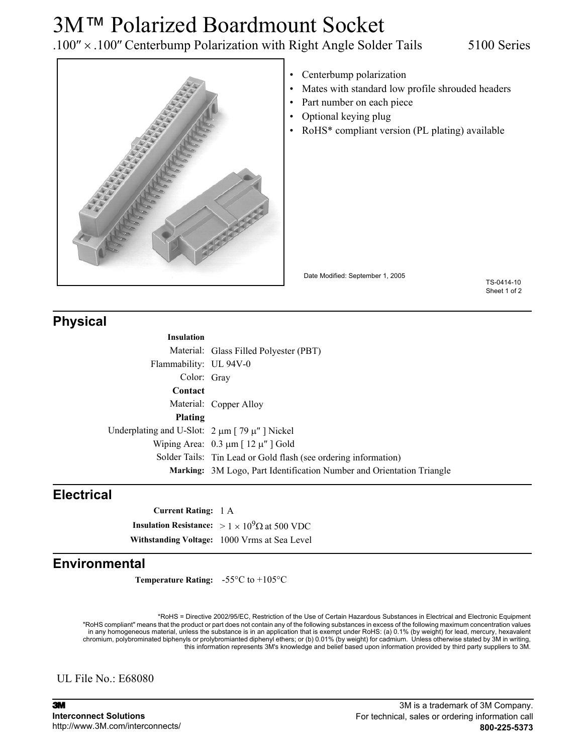# 3M™ Polarized Boardmount Socket

.100″ × .100″ Centerbump Polarization with Right Angle Solder Tails 5100 Series



- Centerbump polarization
- Mates with standard low profile shrouded headers
- Part number on each piece
- Optional keying plug
- RoHS<sup>\*</sup> compliant version (PL plating) available

Date Modified: September 1, 2005

TS-0414-10 Sheet 1 of 2

## **Physical**

| Lasslat: |  |  |
|----------|--|--|

**Insulation** Material: Glass Filled Polyester (PBT) Flammability: UL 94V-0 Color: Gray **Contact** Material: Copper Alloy **Plating** Underplating and U-Slot:  $2 \mu m$  [ 79  $\mu$ " ] Nickel Wiping Area:  $0.3 \mu m$  [  $12 \mu''$  ] Gold Solder Tails: Tin Lead or Gold flash (see ordering information) **Marking:** 3M Logo, Part Identification Number and Orientation Triangle

## **Electrical**

**Current Rating:** 1 A **Insulation Resistance:**  $> 1 \times 10^9 \Omega$  at 500 VDC **Withstanding Voltage:** 1000 Vrms at Sea Level

## **Environmental**

**Temperature Rating:** -55°C to +105°C

\*RoHS = Directive 2002/95/EC, Restriction of the Use of Certain Hazardous Substances in Electrical and Electronic Equipment "RoHS compliant" means that the product or part does not contain any of the following substances in excess of the following maximum concentration values in any homogeneous material, unless the substance is in an application that is exempt under RoHS: (a) 0.1% (by weight) for lead, mercury, hexavalent chromium, polybrominated biphenyls or prolybromianted diphenyl ethers; or (b) 0.01% (by weight) for cadmium. Unless otherwise stated by 3M in writing,<br>this information represents 3M's knowledge and belief based upon infor

UL File No.: E68080

3M **Interconnect Solutions** http://www.3M.com/interconnects/

### 3M is a trademark of 3M Company. For technical, sales or ordering information call **800-225-5373**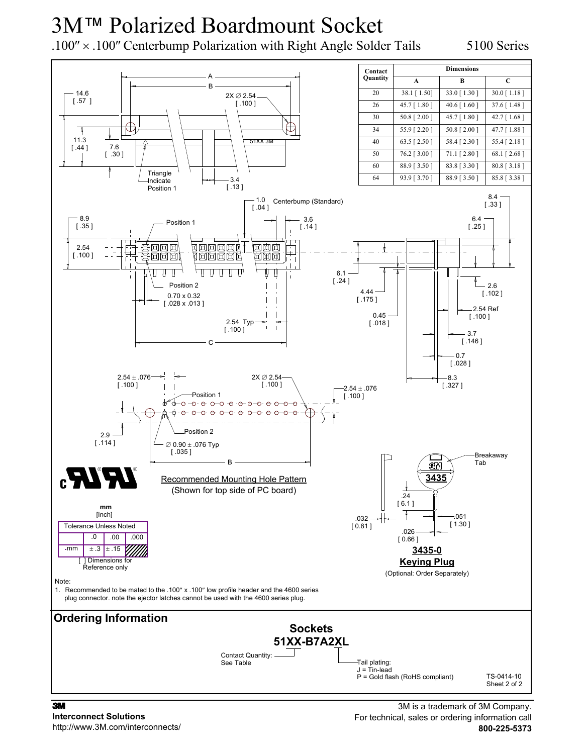# 3M™ Polarized Boardmount Socket

.100″ × .100″ Centerbump Polarization with Right Angle Solder Tails 5100 Series